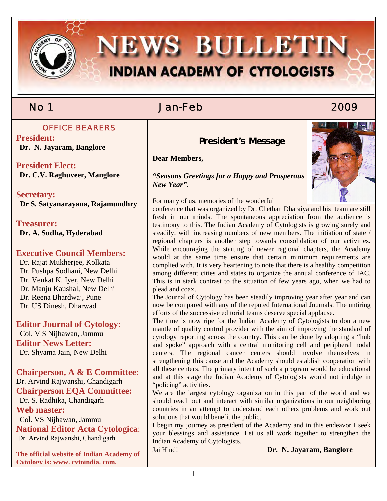

# No 1 Jan-Feb 2009

## OFFICE BEARERS

**President: Dr. N. Jayaram, Banglore** 

**President Elect: Dr. C.V. Raghuveer, Manglore** 

**Secretary: Dr S. Satyanarayana, Rajamundhry** 

**Treasurer: Dr. A. Sudha, Hyderabad** 

## **Executive Council Members:**

 Dr. Rajat Mukherjee, Kolkata Dr. Pushpa Sodhani, New Delhi Dr. Venkat K. Iyer, New Delhi Dr. Manju Kaushal, New Delhi Dr. Reena Bhardwaj, Pune Dr. US Dinesh, Dharwad

## **Editor Journal of Cytology:**

 Col. V S Nijhawan, Jammu **Editor News Letter:**  Dr. Shyama Jain, New Delhi

**Chairperson, A & E Committee:**  Dr. Arvind Rajwanshi, Chandigarh **Chairperson EQA Committee:**  Dr. S. Radhika, Chandigarh **Web master:**  Col. VS Nijhawan, Jammu **National Editor Acta Cytologica**:

Dr. Arvind Rajwanshi, Chandigarh

**The official website of Indian Academy of Cytology is: www. cytoindia. com.**

 **President's Message** 

**Dear Members,** 



*"Seasons Greetings for a Happy and Prosperous New Year".* 

For many of us, memories of the wonderful

conference that was organized by Dr. Chethan Dharaiya and his team are still fresh in our minds. The spontaneous appreciation from the audience is testimony to this. The Indian Academy of Cytologists is growing surely and steadily, with increasing numbers of new members. The initiation of state / regional chapters is another step towards consolidation of our activities. While encouraging the starting of newer regional chapters, the Academy would at the same time ensure that certain minimum requirements are complied with. It is very heartening to note that there is a healthy competition among different cities and states to organize the annual conference of IAC. This is in stark contrast to the situation of few years ago, when we had to plead and coax.

The Journal of Cytology has been steadily improving year after year and can now be compared with any of the reputed International Journals. The untiring efforts of the successive editorial teams deserve special applause.

The time is now ripe for the Indian Academy of Cytologists to don a new mantle of quality control provider with the aim of improving the standard of cytology reporting across the country. This can be done by adopting a "hub and spoke" approach with a central monitoring cell and peripheral nodal centers. The regional cancer centers should involve themselves in strengthening this cause and the Academy should establish cooperation with all these centers. The primary intent of such a program would be educational and at this stage the Indian Academy of Cytologists would not indulge in "policing" activities.

We are the largest cytology organization in this part of the world and we should reach out and interact with similar organizations in our neighboring countries in an attempt to understand each others problems and work out solutions that would benefit the public.

I begin my journey as president of the Academy and in this endeavor I seek your blessings and assistance. Let us all work together to strengthen the Indian Academy of Cytologists.

Jai Hind! **Dr. N. Jayaram, Banglore**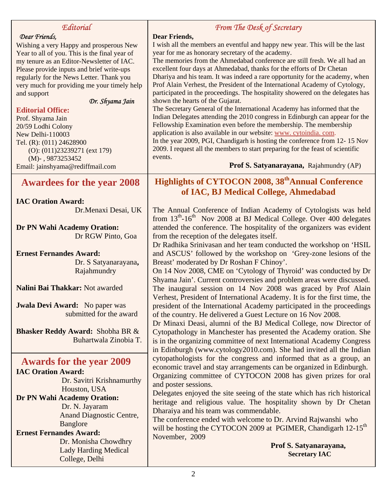| Editorial                                                                             | From The Desk of Secretary                                                                                                                                   |
|---------------------------------------------------------------------------------------|--------------------------------------------------------------------------------------------------------------------------------------------------------------|
| Dear Friends,                                                                         | <b>Dear Friends,</b>                                                                                                                                         |
| Wishing a very Happy and prosperous New                                               | I wish all the members an eventful and happy new year. This will be the last                                                                                 |
| Year to all of you. This is the final year of                                         | year for me as honorary secretary of the academy.                                                                                                            |
| my tenure as an Editor-Newsletter of IAC.                                             | The memories from the Ahmedabad conference are still fresh. We all had an                                                                                    |
| Please provide inputs and brief write-ups<br>regularly for the News Letter. Thank you | excellent four days at Ahmedabad, thanks for the efforts of Dr Chetan<br>Dhariya and his team. It was indeed a rare opportunity for the academy, when        |
| very much for providing me your timely help                                           | Prof Alain Verhest, the President of the International Academy of Cytology,                                                                                  |
| and support                                                                           | participated in the proceedings. The hospitality showered on the delegates has                                                                               |
| Dr. Shyama Jain                                                                       | shown the hearts of the Gujarat.                                                                                                                             |
| <b>Editorial Office:</b>                                                              | The Secretary General of the International Academy has informed that the                                                                                     |
| Prof. Shyama Jain                                                                     | Indian Delegates attending the 2010 congress in Edinburgh can appear for the                                                                                 |
| 20/59 Lodhi Colony                                                                    | Fellowship Examination even before the membership. The membership                                                                                            |
| New Delhi-110003                                                                      | application is also available in our website: www. cytoindia. com.                                                                                           |
| Tel. (R): (011) 24628900                                                              | In the year 2009, PGI, Chandigarh is hosting the conference from 12-15 Nov<br>2009. I request all the members to start preparing for the feast of scientific |
| $(O): (011)23239271$ (ext 179)                                                        | events.                                                                                                                                                      |
| $(M)$ -, 9873253452<br>Email: jainshyama@rediffmail.com                               | Prof S. Satyanarayana, Rajahmundry (AP)                                                                                                                      |
|                                                                                       |                                                                                                                                                              |
| <b>Awardees for the year 2008</b>                                                     | Highlights of CYTOCON 2008, 38 <sup>th</sup> Annual Conference                                                                                               |
|                                                                                       | of IAC, BJ Medical College, Ahmedabad                                                                                                                        |
| <b>IAC Oration Award:</b>                                                             |                                                                                                                                                              |
| Dr.Menaxi Desai, UK                                                                   | The Annual Conference of Indian Academy of Cytologists was held                                                                                              |
|                                                                                       | from 13 <sup>th</sup> -16 <sup>th</sup> Nov 2008 at BJ Medical College. Over 400 delegates                                                                   |
| Dr PN Wahi Academy Oration:                                                           | attended the conference. The hospitality of the organizers was evident                                                                                       |
| Dr RGW Pinto, Goa                                                                     | from the reception of the delegates itself.                                                                                                                  |
|                                                                                       | Dr Radhika Srinivasan and her team conducted the workshop on 'HSIL                                                                                           |
| <b>Ernest Fernandes Award:</b>                                                        | and ASCUS' followed by the workshop on 'Grey-zone lesions of the                                                                                             |
| Dr. S Satyanarayana,                                                                  | Breast' moderated by Dr Roshan F Chinoy'.                                                                                                                    |
| Rajahmundry                                                                           | On 14 Nov 2008, CME on 'Cytology of Thyroid' was conducted by Dr<br>Shyama Jain'. Current controversies and problem areas were discussed.                    |
| Nalini Bai Thakkar: Not awarded                                                       | The inaugural session on 14 Nov 2008 was graced by Prof Alain                                                                                                |
|                                                                                       | Verhest, President of International Academy. It is for the first time, the                                                                                   |
| <b>Jwala Devi Award:</b> No paper was                                                 | president of the International Academy participated in the proceedings                                                                                       |
| submitted for the award                                                               | of the country. He delivered a Guest Lecture on 16 Nov 2008.                                                                                                 |
|                                                                                       | Dr Minaxi Deasi, alumni of the BJ Medical College, now Director of                                                                                           |
| <b>Bhasker Reddy Award: Shobha BR &amp;</b>                                           | Cytopathology in Manchester has presented the Academy oration. She                                                                                           |
| Buhartwala Zinobia T.                                                                 | is in the organizing committee of next International Academy Congress                                                                                        |
|                                                                                       | in Edinburgh (www.cytology2010.com). She had invited all the Indian                                                                                          |
| <b>Awards for the year 2009</b>                                                       | cytopathologists for the congress and informed that as a group, an                                                                                           |
| <b>IAC Oration Award:</b>                                                             | economic travel and stay arrangements can be organized in Edinburgh.                                                                                         |
| Dr. Savitri Krishnamurthy                                                             | Organizing committee of CYTOCON 2008 has given prizes for oral                                                                                               |
| Houston, USA                                                                          | and poster sessions.                                                                                                                                         |
| Dr PN Wahi Academy Oration:                                                           | Delegates enjoyed the site seeing of the state which has rich historical                                                                                     |
| Dr. N. Jayaram                                                                        | heritage and religious value. The hospitality shown by Dr Chetan                                                                                             |
| Anand Diagnostic Centre,                                                              | Dharaiya and his team was commendable.                                                                                                                       |
| <b>Banglore</b>                                                                       | The conference ended with welcome to Dr. Arvind Rajwanshi who                                                                                                |
| <b>Ernest Fernandes Award:</b>                                                        | will be hosting the CYTOCON 2009 at PGIMER, Chandigarh 12-15 <sup>th</sup>                                                                                   |
| Dr. Monisha Chowdhry                                                                  | November, 2009                                                                                                                                               |
| <b>Lady Harding Medical</b>                                                           | Prof S. Satyanarayana,                                                                                                                                       |
| College, Delhi                                                                        | <b>Secretary IAC</b>                                                                                                                                         |
|                                                                                       |                                                                                                                                                              |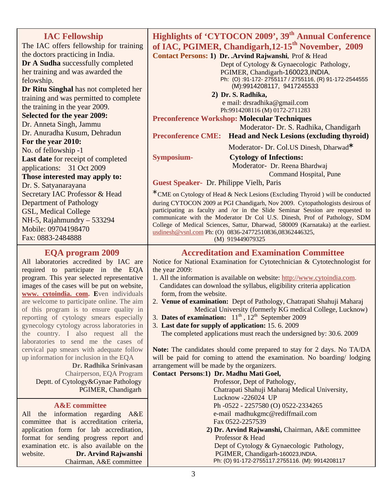| <b>IAC Fellowship</b><br>The IAC offers fellowship for training<br>the doctors practicing in India.<br>Dr A Sudha successfully completed<br>her training and was awarded the<br>felowship.<br>Dr Ritu Singhal has not completed her<br>training and was permitted to complete                                                                                                                                                                   | Highlights of 'CYTOCON 2009', 39 <sup>th</sup> Annual Conference<br>of IAC, PGIMER, Chandigarh, 12-15 <sup>th</sup> November, 2009<br>Contact Persons: 1) Dr. Arvind Rajwanshi, Prof & Head<br>Dept of Cytology & Gynaecologic Pathology,<br>PGIMER, Chandigarh-160023, INDIA.<br>Ph: (O):91-172-2755117 / 2755116, (R) 91-172-2544555<br>(M):9914208117, 9417245533<br>2) Dr. S. Radhika,                                                                                                                                                                                                                                                                                                                                                                                                                                                                                                  |  |
|-------------------------------------------------------------------------------------------------------------------------------------------------------------------------------------------------------------------------------------------------------------------------------------------------------------------------------------------------------------------------------------------------------------------------------------------------|---------------------------------------------------------------------------------------------------------------------------------------------------------------------------------------------------------------------------------------------------------------------------------------------------------------------------------------------------------------------------------------------------------------------------------------------------------------------------------------------------------------------------------------------------------------------------------------------------------------------------------------------------------------------------------------------------------------------------------------------------------------------------------------------------------------------------------------------------------------------------------------------|--|
| the training in the year 2009.                                                                                                                                                                                                                                                                                                                                                                                                                  | e mail: drsradhika@gmail.com<br>Ph:9914208116 (M) 0172-2711283                                                                                                                                                                                                                                                                                                                                                                                                                                                                                                                                                                                                                                                                                                                                                                                                                              |  |
| <b>Selected for the year 2009:</b><br>Dr. Anneta Singh, Jammu<br>Dr. Anuradha Kusum, Dehradun<br>For the year 2010:<br>No. of fellowship -1<br>Last date for receipt of completed<br>applications: 31 Oct 2009<br>Those interested may apply to:<br>Dr. S. Satyanarayana<br>Secretary IAC Professor & Head<br><b>Department of Pathology</b><br>GSL, Medical College<br>NH-5, Rajahmundry $-533294$<br>Mobile: 09704198470<br>Fax: 0883-2484888 | <b>Preconference Workshop: Molecular Techniques</b><br>Moderator- Dr. S. Radhika, Chandigarh<br><b>Preconference CME:</b><br><b>Head and Neck Lesions (excluding thyroid)</b><br>Moderator- Dr. Col.US Dinesh, Dharwad*<br>Symposium-<br><b>Cytology of Infections:</b><br>Moderator- Dr. Reena Bhardwaj<br><b>Command Hospital, Pune</b><br>Guest Speaker- Dr. Philippe Vielh, Paris<br>* CME on Cytology of Head & Neck Lesions (Excluding Thyroid) will be conducted<br>during CYTOCON 2009 at PGI Chandigarh, Nov 2009. Cytopathologists desirous of<br>participating as faculty and /or in the Slide Seminar Session are requested to<br>communicate with the Moderator Dr Col U.S. Dinesh, Prof of Pathology, SDM<br>College of Medical Sciences, Sattur, Dharwad, 580009 (Karnataka) at the earliest.<br>usdinesh@vsnl.com Ph: (O) 0836-24772510836,08362446325,<br>(M) 919449079325 |  |
| <b>EOA program 2009</b>                                                                                                                                                                                                                                                                                                                                                                                                                         | <b>Accreditation and Examination Committee</b>                                                                                                                                                                                                                                                                                                                                                                                                                                                                                                                                                                                                                                                                                                                                                                                                                                              |  |

the year 2009:

## **EQA program 2009**

All laboratories accredited by IAC are required to participate in the EQA program. This year selected representative images of the cases will be put on website, **www. cytoindia. com. E**ven individuals are welcome to participate online. The aim of this program is to ensure quality in reporting of cytology smears especially gynecology cytology across laboratories in the country. I also request all the laboratories to send me the cases of cervical pap smears with adequate follow up information for inclusion in the EQA

 **Dr. Radhika Srinivasan** Chairperson, EQA Program Deptt. of Cytology&Gynae Pathology PGIMER, Chandigarh

### **A&E committee**

All the information regarding A&E committee that is accreditation criteria, application form for lab accreditation, format for sending progress report and examination etc. is also available on the website. **Dr. Arvind Rajwanshi** Chairman, A&E committee

 Candidates can download the syllabus, eligibility criteria application form, from the website. 2. **Venue of examination:** Dept of Pathology, Chatrapati Shahuji Maharaj Medical University (formerly KG medical College, Lucknow)

1. All the information is available on website: http://www.cytoindia.com.

Notice for National Examination for Cytotechnician & Cytotechnologist for

- 3. **Dates of examination:**  $11^{th}$ ,  $12^{th}$  September 2009
- 3. **Last date for supply of application:** 15. 6. 2009

The completed applications must reach the undersigned by: 30.6. 2009

**Note:** The candidates should come prepared to stay for 2 days. No TA/DA will be paid for coming to attend the examination. No boarding/ lodging arrangement will be made by the organizers.

#### **Contact Persons**:**1) Dr. Madhu Mati Goel,**

 Professor, Dept of Pathology, Chatrapati Shahuji Maharaj Medical University, Lucknow -226024 UP Ph -0522 - 2257580 (O) 0522-2334265 e-mail madhukgmc@rediffmail.com Fax 0522-2257539

 **2) Dr. Arvind Rajwanshi,** Chairman, A&E committee Professor & Head Dept of Cytology & Gynaecologic Pathology,

 PGIMER, Chandigarh-160023,INDIA. Ph: (O) 91-172-2755117.2755116. (M): 9914208117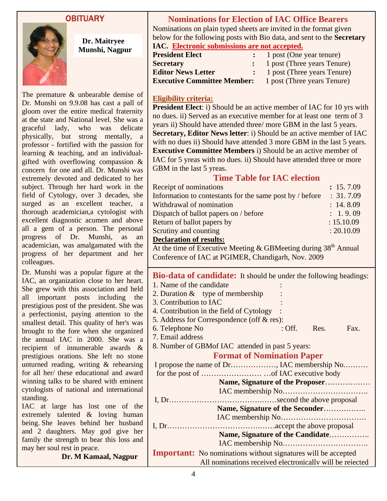## OBITUARY



 **Dr. Maitryee Munshi, Nagpur** 

The premature & unbearable demise of Dr. Munshi on 9.9.08 has cast a pall of gloom over the entire medical fraternity at the state and National level. She was a graceful lady, who was delicate physically, but strong mentally, a professor - fortified with the passion for learning & teaching, and an individualgifted with overflowing compassion & concern for one and all. Dr. Munshi was extremely devoted and dedicated to her subject. Through her hard work in the field of Cytology, over 3 decades, she surged as an excellent teacher, a thorough academician,a cytologist with excellent diagnostic acumen and above all a gem of a person. The personal progress of Dr. Munshi, as an academician, was amalgamated with the progress of her department and her colleagues.

Dr. Munshi was a popular figure at the IAC, an organization close to her heart. She grew with this association and held all important posts including the prestigious post of the president. She was a perfectionist, paying attention to the smallest detail. This quality of her's was brought to the fore when she organized the annual IAC in 2000. She was a recipient of innumerable awards & prestigious orations. She left no stone unturned reading, writing & rehearsing for all her/ these educational and award winning talks to be shared with eminent cytologists of national and international standing.

IAC at large has lost one of the extremely talented & loving human being. She leaves behind her husband and 2 daughters. May god give her family the strength to bear this loss and may her soul rest in peace.

**Dr. M Kamaal, Nagpur** 

## **Nominations for Election of IAC Office Bearers**

Nominations on plain typed sheets are invited in the format given below for the following posts with Bio data, and sent to the **Secretary IAC. Electronic submissions are not accepted.**

| <b>President Elect</b>             | 1 post (One year tenure)    |
|------------------------------------|-----------------------------|
| <b>Secretary</b>                   | 1 post (Three years Tenure) |
| <b>Editor News Letter</b>          | 1 post (Three years Tenure) |
| <b>Executive Committee Member:</b> | 1 post (Three years Tenure) |

## **Eligibility criteria:**

**President Elect**: i) Should be an active member of IAC for 10 yrs with no dues. ii) Served as an executive member for at least one term of 3 years ii) Should have attended three/ more GBM in the last 5 years. **Secretary, Editor News letter**: i) Should be an active member of IAC with no dues ii) Should have attended 3 more GBM in the last 5 years. **Executive Committee Members** i) Should be an active member of IAC for 5 yreas with no dues. ii) Should have attended three or more GBM in the last 5 yreas.

## **Time Table for IAC election**

| Receipt of nominations                                   | : 15.7.09  |
|----------------------------------------------------------|------------|
| Information to contestants for the same post by / before | : 31.7.09  |
| Withdrawal of nomination                                 | : 14.8.09  |
| Dispatch of ballot papers on / before                    | : 1.9.09   |
| Return of ballot papers by                               | : 15.10.09 |
| Scrutiny and counting                                    | : 20.10.09 |
| $\mathbf{r}$ is a in                                     |            |

### **Declaration of results:**

At the time of Executive Meeting  $\&$  GBMeeting during 38<sup>th</sup> Annual Conference of IAC at PGIMER, Chandigarh, Nov. 2009

| <b>Bio-data of candidate:</b> It should be under the following headings: |  |               |      |
|--------------------------------------------------------------------------|--|---------------|------|
| 1. Name of the candidate                                                 |  |               |      |
| 2. Duration $&$ type of membership                                       |  |               |      |
| 3. Contribution to IAC                                                   |  |               |      |
| 4. Contribution in the field of Cytology                                 |  |               |      |
| 5. Address for Correspondence (off $\&$ res):                            |  |               |      |
| 6. Telephone No                                                          |  | $:$ Off. Res. | Fax. |
| 7. Email address                                                         |  |               |      |
| 8. Number of GBM of IAC attended in past 5 years:                        |  |               |      |
| <b>Format of Nomination Paper</b>                                        |  |               |      |
|                                                                          |  |               |      |
|                                                                          |  |               |      |
| Name, Signature of the Proposer                                          |  |               |      |
|                                                                          |  |               |      |
|                                                                          |  |               |      |
| Name, Signature of the Seconder                                          |  |               |      |
|                                                                          |  |               |      |
|                                                                          |  |               |      |
| Name, Signature of the Candidate                                         |  |               |      |
|                                                                          |  |               |      |
| <b>Important:</b> No nominations without signatures will be accepted     |  |               |      |
| All nominations received electronically will be rejected                 |  |               |      |